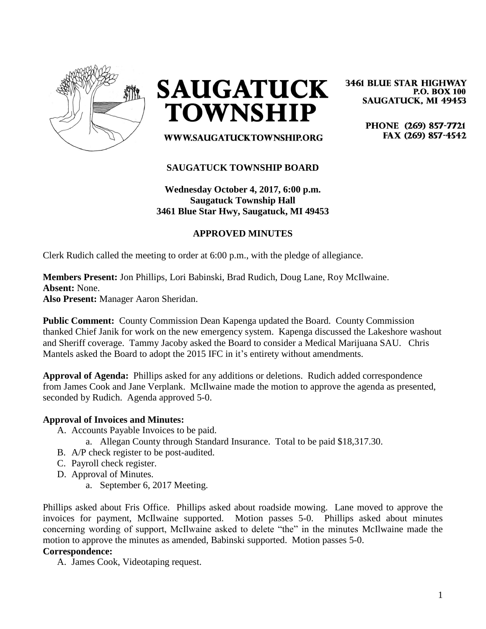

**SAUGATUCK TOWNSHIP** 

**3461 BLUE STAR HIGHWAY P.O. BOX 100 SAUGATUCK, MI 49453** 

> PHONE (269) 857-7721 FAX (269) 857-4542

WWW.SAUGATUCKTOWNSHIP.ORG

# **SAUGATUCK TOWNSHIP BOARD**

**Wednesday October 4, 2017, 6:00 p.m. Saugatuck Township Hall 3461 Blue Star Hwy, Saugatuck, MI 49453**

# **APPROVED MINUTES**

Clerk Rudich called the meeting to order at 6:00 p.m., with the pledge of allegiance.

### **Members Present:** Jon Phillips, Lori Babinski, Brad Rudich, Doug Lane, Roy McIlwaine. **Absent:** None. **Also Present:** Manager Aaron Sheridan.

**Public Comment:** County Commission Dean Kapenga updated the Board. County Commission thanked Chief Janik for work on the new emergency system. Kapenga discussed the Lakeshore washout and Sheriff coverage. Tammy Jacoby asked the Board to consider a Medical Marijuana SAU. Chris Mantels asked the Board to adopt the 2015 IFC in it's entirety without amendments.

**Approval of Agenda:** Phillips asked for any additions or deletions. Rudich added correspondence from James Cook and Jane Verplank. McIlwaine made the motion to approve the agenda as presented, seconded by Rudich. Agenda approved 5-0.

#### **Approval of Invoices and Minutes:**

- A. Accounts Payable Invoices to be paid.
	- a. Allegan County through Standard Insurance. Total to be paid \$18,317.30.
- B. A/P check register to be post-audited.
- C. Payroll check register.
- D. Approval of Minutes.
	- a. September 6, 2017 Meeting.

Phillips asked about Fris Office. Phillips asked about roadside mowing. Lane moved to approve the invoices for payment, McIlwaine supported. Motion passes 5-0. Phillips asked about minutes concerning wording of support, McIlwaine asked to delete "the" in the minutes McIlwaine made the motion to approve the minutes as amended, Babinski supported. Motion passes 5-0.

# **Correspondence:**

A. James Cook, Videotaping request.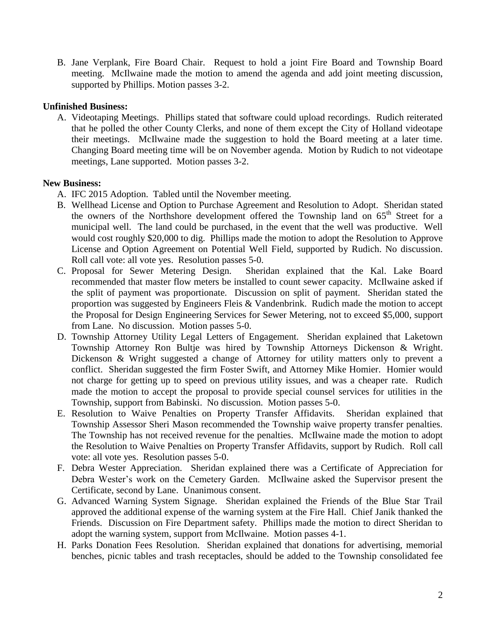B. Jane Verplank, Fire Board Chair. Request to hold a joint Fire Board and Township Board meeting. McIlwaine made the motion to amend the agenda and add joint meeting discussion, supported by Phillips. Motion passes 3-2.

# **Unfinished Business:**

A. Videotaping Meetings. Phillips stated that software could upload recordings. Rudich reiterated that he polled the other County Clerks, and none of them except the City of Holland videotape their meetings. McIlwaine made the suggestion to hold the Board meeting at a later time. Changing Board meeting time will be on November agenda. Motion by Rudich to not videotape meetings, Lane supported. Motion passes 3-2.

# **New Business:**

- A. IFC 2015 Adoption. Tabled until the November meeting.
- B. Wellhead License and Option to Purchase Agreement and Resolution to Adopt. Sheridan stated the owners of the Northshore development offered the Township land on 65<sup>th</sup> Street for a municipal well. The land could be purchased, in the event that the well was productive. Well would cost roughly \$20,000 to dig. Phillips made the motion to adopt the Resolution to Approve License and Option Agreement on Potential Well Field, supported by Rudich. No discussion. Roll call vote: all vote yes. Resolution passes 5-0.
- C. Proposal for Sewer Metering Design. Sheridan explained that the Kal. Lake Board recommended that master flow meters be installed to count sewer capacity. McIlwaine asked if the split of payment was proportionate. Discussion on split of payment. Sheridan stated the proportion was suggested by Engineers Fleis & Vandenbrink. Rudich made the motion to accept the Proposal for Design Engineering Services for Sewer Metering, not to exceed \$5,000, support from Lane. No discussion. Motion passes 5-0.
- D. Township Attorney Utility Legal Letters of Engagement. Sheridan explained that Laketown Township Attorney Ron Bultje was hired by Township Attorneys Dickenson & Wright. Dickenson & Wright suggested a change of Attorney for utility matters only to prevent a conflict. Sheridan suggested the firm Foster Swift, and Attorney Mike Homier. Homier would not charge for getting up to speed on previous utility issues, and was a cheaper rate. Rudich made the motion to accept the proposal to provide special counsel services for utilities in the Township, support from Babinski. No discussion. Motion passes 5-0.
- E. Resolution to Waive Penalties on Property Transfer Affidavits. Sheridan explained that Township Assessor Sheri Mason recommended the Township waive property transfer penalties. The Township has not received revenue for the penalties. McIlwaine made the motion to adopt the Resolution to Waive Penalties on Property Transfer Affidavits, support by Rudich. Roll call vote: all vote yes. Resolution passes 5-0.
- F. Debra Wester Appreciation. Sheridan explained there was a Certificate of Appreciation for Debra Wester's work on the Cemetery Garden. McIlwaine asked the Supervisor present the Certificate, second by Lane. Unanimous consent.
- G. Advanced Warning System Signage. Sheridan explained the Friends of the Blue Star Trail approved the additional expense of the warning system at the Fire Hall. Chief Janik thanked the Friends. Discussion on Fire Department safety. Phillips made the motion to direct Sheridan to adopt the warning system, support from McIlwaine. Motion passes 4-1.
- H. Parks Donation Fees Resolution. Sheridan explained that donations for advertising, memorial benches, picnic tables and trash receptacles, should be added to the Township consolidated fee